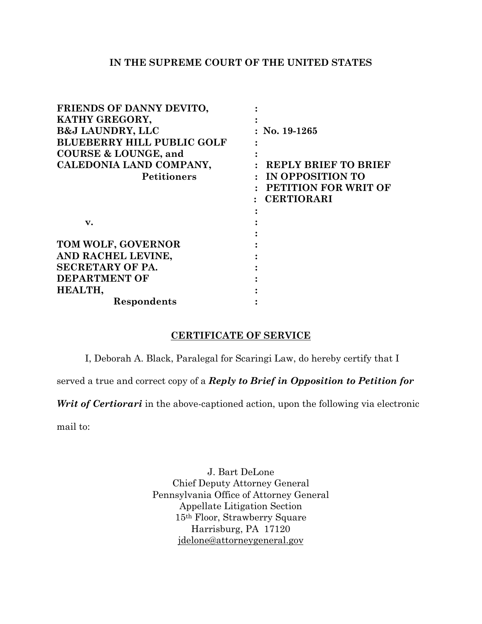## **IN THE SUPREME COURT OF THE UNITED STATES**

| FRIENDS OF DANNY DEVITO,          |                             |
|-----------------------------------|-----------------------------|
| KATHY GREGORY,                    |                             |
| <b>B&amp;J LAUNDRY, LLC</b>       | No. 19-1265                 |
| <b>BLUEBERRY HILL PUBLIC GOLF</b> |                             |
| <b>COURSE &amp; LOUNGE, and</b>   |                             |
| CALEDONIA LAND COMPANY,           | <b>REPLY BRIEF TO BRIEF</b> |
| <b>Petitioners</b>                | IN OPPOSITION TO            |
|                                   | <b>PETITION FOR WRIT OF</b> |
|                                   | <b>CERTIORARI</b>           |
|                                   |                             |
| $\mathbf{v}$ .                    |                             |
|                                   |                             |
| TOM WOLF, GOVERNOR                |                             |
| AND RACHEL LEVINE,                |                             |
| <b>SECRETARY OF PA.</b>           |                             |
| <b>DEPARTMENT OF</b>              |                             |
| HEALTH,                           |                             |
| Respondents                       |                             |

## **CERTIFICATE OF SERVICE**

I, Deborah A. Black, Paralegal for Scaringi Law, do hereby certify that I

served a true and correct copy of a *Reply to Brief in Opposition to Petition for* 

*Writ of Certiorari* in the above-captioned action, upon the following via electronic

mail to:

J. Bart DeLone Chief Deputy Attorney General Pennsylvania Office of Attorney General Appellate Litigation Section 15th Floor, Strawberry Square Harrisburg, PA 17120 [jdelone@attorneygeneral.gov](mailto:jdelone@attorneygeneral.gov)